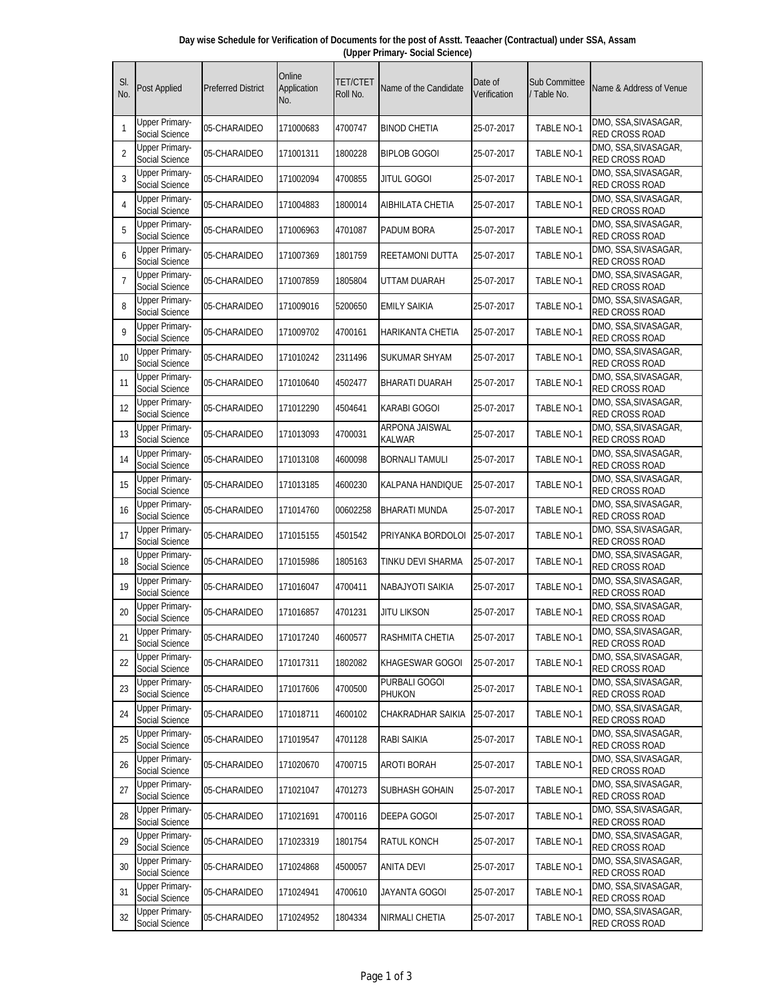| SI.<br>No.     | <b>Post Applied</b>                     | <b>Preferred District</b> | Online<br>Application<br>No. | TET/CTET<br>Roll No. | Name of the Candidate           | Date of<br>Verification | <b>Sub Committee</b><br>Table No. | Name & Address of Venue                       |
|----------------|-----------------------------------------|---------------------------|------------------------------|----------------------|---------------------------------|-------------------------|-----------------------------------|-----------------------------------------------|
| $\mathbf{1}$   | <b>Upper Primary-</b><br>Social Science | 05-CHARAIDEO              | 171000683                    | 4700747              | <b>BINOD CHETIA</b>             | 25-07-2017              | <b>TABLE NO-1</b>                 | DMO, SSA, SIVASAGAR,<br>RED CROSS ROAD        |
| $\overline{2}$ | <b>Upper Primary-</b><br>Social Science | 05-CHARAIDEO              | 171001311                    | 1800228              | <b>BIPLOB GOGOI</b>             | 25-07-2017              | TABLE NO-1                        | DMO, SSA, SIVASAGAR,<br>RED CROSS ROAD        |
| 3              | Upper Primary-<br>Social Science        | 05-CHARAIDEO              | 171002094                    | 4700855              | <b>JITUL GOGOI</b>              | 25-07-2017              | <b>TABLE NO-1</b>                 | DMO, SSA, SIVASAGAR,<br><b>RED CROSS ROAD</b> |
| 4              | Upper Primary-<br>Social Science        | 05-CHARAIDEO              | 171004883                    | 1800014              | AIBHILATA CHETIA                | 25-07-2017              | TABLE NO-1                        | DMO, SSA, SIVASAGAR,<br><b>RED CROSS ROAD</b> |
| 5              | <b>Upper Primary-</b><br>Social Science | 05-CHARAIDEO              | 171006963                    | 4701087              | <b>PADUM BORA</b>               | 25-07-2017              | <b>TABLE NO-1</b>                 | DMO, SSA, SIVASAGAR,<br>RED CROSS ROAD        |
| 6              | <b>Upper Primary-</b><br>Social Science | 05-CHARAIDEO              | 171007369                    | 1801759              | <b>REETAMONI DUTTA</b>          | 25-07-2017              | <b>TABLE NO-1</b>                 | DMO, SSA, SIVASAGAR,<br><b>RED CROSS ROAD</b> |
| 7              | <b>Upper Primary-</b><br>Social Science | 05-CHARAIDEO              | 171007859                    | 1805804              | UTTAM DUARAH                    | 25-07-2017              | TABLE NO-1                        | DMO, SSA, SIVASAGAR,<br><b>RED CROSS ROAD</b> |
| 8              | <b>Upper Primary-</b><br>Social Science | 05-CHARAIDEO              | 171009016                    | 5200650              | <b>EMILY SAIKIA</b>             | 25-07-2017              | <b>TABLE NO-1</b>                 | DMO, SSA, SIVASAGAR,<br>RED CROSS ROAD        |
| $\mathsf{Q}$   | Upper Primary-<br>Social Science        | 05-CHARAIDEO              | 171009702                    | 4700161              | HARIKANTA CHETIA                | 25-07-2017              | <b>TABLE NO-1</b>                 | DMO, SSA, SIVASAGAR,<br><b>RED CROSS ROAD</b> |
| 10             | <b>Upper Primary-</b><br>Social Science | 05-CHARAIDEO              | 171010242                    | 2311496              | SUKUMAR SHYAM                   | 25-07-2017              | TABLE NO-1                        | DMO, SSA, SIVASAGAR,<br>RED CROSS ROAD        |
| 11             | <b>Upper Primary-</b><br>Social Science | 05-CHARAIDEO              | 171010640                    | 4502477              | <b>BHARATI DUARAH</b>           | 25-07-2017              | <b>TABLE NO-1</b>                 | DMO, SSA, SIVASAGAR,<br><b>RED CROSS ROAD</b> |
| 12             | <b>Upper Primary-</b><br>Social Science | 05-CHARAIDEO              | 171012290                    | 4504641              | <b>KARABI GOGOI</b>             | 25-07-2017              | <b>TABLE NO-1</b>                 | DMO, SSA, SIVASAGAR,<br>RED CROSS ROAD        |
| 13             | <b>Upper Primary-</b><br>Social Science | 05-CHARAIDEO              | 171013093                    | 4700031              | <b>ARPONA JAISWAL</b><br>KALWAR | 25-07-2017              | TABLE NO-1                        | DMO, SSA, SIVASAGAR,<br>RED CROSS ROAD        |
| 14             | <b>Upper Primary-</b><br>Social Science | 05-CHARAIDEO              | 171013108                    | 4600098              | <b>BORNALI TAMULI</b>           | 25-07-2017              | <b>TABLE NO-1</b>                 | DMO, SSA, SIVASAGAR,<br><b>RED CROSS ROAD</b> |
| 15             | Upper Primary-<br>Social Science        | 05-CHARAIDEO              | 171013185                    | 4600230              | KALPANA HANDIQUE                | 25-07-2017              | <b>TABLE NO-1</b>                 | DMO, SSA, SIVASAGAR,<br><b>RED CROSS ROAD</b> |
| 16             | <b>Upper Primary-</b><br>Social Science | 05-CHARAIDEO              | 171014760                    | 00602258             | BHARATI MUNDA                   | 25-07-2017              | <b>TABLE NO-1</b>                 | DMO, SSA, SIVASAGAR,<br>RED CROSS ROAD        |
| 17             | <b>Upper Primary-</b><br>Social Science | 05-CHARAIDEO              | 171015155                    | 4501542              | PRIYANKA BORDOLOI               | 25-07-2017              | TABLE NO-1                        | DMO, SSA, SIVASAGAR,<br><b>RED CROSS ROAD</b> |
| 18             | <b>Upper Primary-</b><br>Social Science | 05-CHARAIDEO              | 171015986                    | 1805163              | TINKU DEVI SHARMA               | 25-07-2017              | <b>TABLE NO-1</b>                 | DMO, SSA, SIVASAGAR,<br>RED CROSS ROAD        |
| 19             | <b>Upper Primary-</b><br>Social Science | 05-CHARAIDEO              | 171016047                    | 4700411              | <b>NABAJYOTI SAIKIA</b>         | 25-07-2017              | <b>TABLE NO-1</b>                 | DMO, SSA, SIVASAGAR,<br>RED CROSS ROAD        |
| 20             | Upper Primary-<br>Social Science        | 05-CHARAIDEO              | 171016857                    | 4701231              | JITU LIKSON                     | 25-07-2017              | TABLE NO-1                        | DMO, SSA, SIVASAGAR,<br>RED CROSS ROAD        |
| 21             | <b>Upper Primary-</b><br>Social Science | 05-CHARAIDEO              | 171017240                    | 4600577              | RASHMITA CHETIA                 | 25-07-2017              | TABLE NO-1                        | DMO, SSA, SIVASAGAR,<br>RED CROSS ROAD        |
| 22             | Upper Primary-<br>Social Science        | 05-CHARAIDEO              | 171017311                    | 1802082              | KHAGESWAR GOGOI                 | 25-07-2017              | <b>TABLE NO-1</b>                 | DMO, SSA, SIVASAGAR,<br>RED CROSS ROAD        |
| 23             | <b>Upper Primary-</b><br>Social Science | 05-CHARAIDEO              | 171017606                    | 4700500              | PURBALI GOGOI<br>PHUKON         | 25-07-2017              | TABLE NO-1                        | DMO, SSA, SIVASAGAR,<br>RED CROSS ROAD        |
| 24             | <b>Upper Primary-</b><br>Social Science | 05-CHARAIDEO              | 171018711                    | 4600102              | CHAKRADHAR SAIKIA               | 25-07-2017              | TABLE NO-1                        | DMO, SSA, SIVASAGAR,<br>RED CROSS ROAD        |
| 25             | <b>Upper Primary-</b><br>Social Science | 05-CHARAIDEO              | 171019547                    | 4701128              | RABI SAIKIA                     | 25-07-2017              | <b>TABLE NO-1</b>                 | DMO, SSA, SIVASAGAR,<br>RED CROSS ROAD        |
| 26             | <b>Upper Primary-</b><br>Social Science | 05-CHARAIDEO              | 171020670                    | 4700715              | <b>AROTI BORAH</b>              | 25-07-2017              | TABLE NO-1                        | DMO, SSA, SIVASAGAR,<br>RED CROSS ROAD        |
| 27             | <b>Upper Primary-</b><br>Social Science | 05-CHARAIDEO              | 171021047                    | 4701273              | SUBHASH GOHAIN                  | 25-07-2017              | <b>TABLE NO-1</b>                 | DMO, SSA, SIVASAGAR,<br>RED CROSS ROAD        |
| 28             | <b>Upper Primary-</b><br>Social Science | 05-CHARAIDEO              | 171021691                    | 4700116              | DEEPA GOGOI                     | 25-07-2017              | TABLE NO-1                        | DMO, SSA, SIVASAGAR,<br>RED CROSS ROAD        |
| 29             | Upper Primary-<br>Social Science        | 05-CHARAIDEO              | 171023319                    | 1801754              | <b>RATUL KONCH</b>              | 25-07-2017              | TABLE NO-1                        | DMO, SSA, SIVASAGAR,<br>RED CROSS ROAD        |
| 30             | <b>Upper Primary-</b><br>Social Science | 05-CHARAIDEO              | 171024868                    | 4500057              | <b>ANITA DEVI</b>               | 25-07-2017              | <b>TABLE NO-1</b>                 | DMO, SSA, SIVASAGAR,<br>RED CROSS ROAD        |
| 31             | Upper Primary-<br>Social Science        | 05-CHARAIDEO              | 171024941                    | 4700610              | JAYANTA GOGOI                   | 25-07-2017              | TABLE NO-1                        | DMO, SSA, SIVASAGAR,<br>RED CROSS ROAD        |
| 32             | Upper Primary-<br>Social Science        | 05-CHARAIDEO              | 171024952                    | 1804334              | <b>NIRMALI CHETIA</b>           | 25-07-2017              | TABLE NO-1                        | DMO, SSA, SIVASAGAR,<br>RED CROSS ROAD        |

**Day wise Schedule for Verification of Documents for the post of Asstt. Teaacher (Contractual) under SSA, Assam (Upper Primary- Social Science)**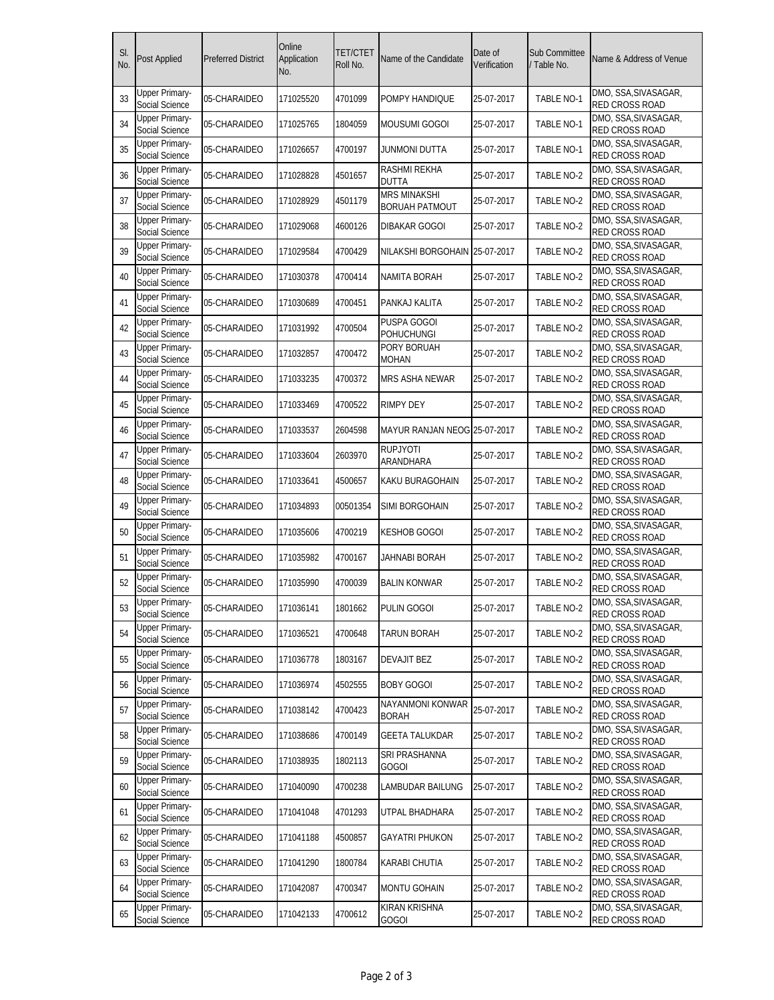| SI.<br>No. | <b>Post Applied</b>                     | <b>Preferred District</b> | Online<br>Application<br>No. | TET/CTET<br>Roll No. | Name of the Candidate                        | Date of<br>Verification | <b>Sub Committee</b><br>Table No. | Name & Address of Venue                       |
|------------|-----------------------------------------|---------------------------|------------------------------|----------------------|----------------------------------------------|-------------------------|-----------------------------------|-----------------------------------------------|
| 33         | Upper Primary-<br>Social Science        | 05-CHARAIDEO              | 171025520                    | 4701099              | POMPY HANDIQUE                               | 25-07-2017              | TABLE NO-1                        | DMO, SSA, SIVASAGAR,<br>RED CROSS ROAD        |
| 34         | <b>Upper Primary-</b><br>Social Science | 05-CHARAIDEO              | 171025765                    | 1804059              | MOUSUMI GOGOI                                | 25-07-2017              | <b>TABLE NO-1</b>                 | DMO, SSA, SIVASAGAR,<br>RED CROSS ROAD        |
| 35         | <b>Upper Primary-</b><br>Social Science | 05-CHARAIDEO              | 171026657                    | 4700197              | JUNMONI DUTTA                                | 25-07-2017              | <b>TABLE NO-1</b>                 | DMO, SSA, SIVASAGAR,<br><b>RED CROSS ROAD</b> |
| 36         | <b>Upper Primary-</b><br>Social Science | 05-CHARAIDEO              | 171028828                    | 4501657              | <b>RASHMI REKHA</b><br><b>DUTTA</b>          | 25-07-2017              | TABLE NO-2                        | DMO, SSA, SIVASAGAR,<br>RED CROSS ROAD        |
| 37         | <b>Upper Primary-</b><br>Social Science | 05-CHARAIDEO              | 171028929                    | 4501179              | <b>MRS MINAKSHI</b><br><b>BORUAH PATMOUT</b> | 25-07-2017              | TABLE NO-2                        | DMO, SSA, SIVASAGAR,<br><b>RED CROSS ROAD</b> |
| 38         | <b>Upper Primary-</b><br>Social Science | 05-CHARAIDEO              | 171029068                    | 4600126              | <b>DIBAKAR GOGOI</b>                         | 25-07-2017              | TABLE NO-2                        | DMO, SSA, SIVASAGAR,<br>RED CROSS ROAD        |
| 39         | <b>Upper Primary-</b><br>Social Science | 05-CHARAIDEO              | 171029584                    | 4700429              | NILAKSHI BORGOHAIN                           | 25-07-2017              | TABLE NO-2                        | DMO, SSA, SIVASAGAR,<br>RED CROSS ROAD        |
| 40         | <b>Upper Primary-</b><br>Social Science | 05-CHARAIDEO              | 171030378                    | 4700414              | NAMITA BORAH                                 | 25-07-2017              | TABLE NO-2                        | DMO, SSA, SIVASAGAR,<br>RED CROSS ROAD        |
| 41         | <b>Upper Primary-</b><br>Social Science | 05-CHARAIDEO              | 171030689                    | 4700451              | PANKAJ KALITA                                | 25-07-2017              | TABLE NO-2                        | DMO, SSA, SIVASAGAR,<br><b>RED CROSS ROAD</b> |
| 42         | <b>Upper Primary-</b><br>Social Science | 05-CHARAIDEO              | 171031992                    | 4700504              | PUSPA GOGOI<br><b>POHUCHUNGI</b>             | 25-07-2017              | TABLE NO-2                        | DMO, SSA, SIVASAGAR,<br>RED CROSS ROAD        |
| 43         | <b>Upper Primary-</b><br>Social Science | 05-CHARAIDEO              | 171032857                    | 4700472              | PORY BORUAH<br>MOHAN                         | 25-07-2017              | TABLE NO-2                        | DMO, SSA, SIVASAGAR,<br><b>RED CROSS ROAD</b> |
| 44         | <b>Upper Primary-</b><br>Social Science | 05-CHARAIDEO              | 171033235                    | 4700372              | <b>MRS ASHA NEWAR</b>                        | 25-07-2017              | TABLE NO-2                        | DMO, SSA, SIVASAGAR,<br>RED CROSS ROAD        |
| 45         | <b>Upper Primary-</b><br>Social Science | 05-CHARAIDEO              | 171033469                    | 4700522              | RIMPY DEY                                    | 25-07-2017              | TABLE NO-2                        | DMO, SSA, SIVASAGAR,<br>RED CROSS ROAD        |
| 46         | <b>Upper Primary-</b><br>Social Science | 05-CHARAIDEO              | 171033537                    | 2604598              | MAYUR RANJAN NEOG 25-07-2017                 |                         | TABLE NO-2                        | DMO, SSA, SIVASAGAR,<br><b>RED CROSS ROAD</b> |
| 47         | Upper Primary-<br>Social Science        | 05-CHARAIDEO              | 171033604                    | 2603970              | <b>RUPJYOTI</b><br>ARANDHARA                 | 25-07-2017              | TABLE NO-2                        | DMO, SSA, SIVASAGAR,<br><b>RED CROSS ROAD</b> |
| 48         | <b>Upper Primary-</b><br>Social Science | 05-CHARAIDEO              | 171033641                    | 4500657              | KAKU BURAGOHAIN                              | 25-07-2017              | TABLE NO-2                        | DMO, SSA, SIVASAGAR,<br><b>RED CROSS ROAD</b> |
| 49         | <b>Upper Primary-</b><br>Social Science | 05-CHARAIDEO              | 171034893                    | 00501354             | SIMI BORGOHAIN                               | 25-07-2017              | TABLE NO-2                        | DMO, SSA, SIVASAGAR,<br><b>RED CROSS ROAD</b> |
| 50         | Upper Primary-<br>Social Science        | 05-CHARAIDEO              | 171035606                    | 4700219              | <b>KESHOB GOGOI</b>                          | 25-07-2017              | TABLE NO-2                        | DMO, SSA, SIVASAGAR,<br><b>RED CROSS ROAD</b> |
| 51         | <b>Upper Primary-</b><br>Social Science | 05-CHARAIDEO              | 171035982                    | 4700167              | JAHNABI BORAH                                | 25-07-2017              | TABLE NO-2                        | DMO, SSA, SIVASAGAR,<br>RED CROSS ROAD        |
| 52         | <b>Upper Primary-</b><br>Social Science | 05-CHARAIDEO              | 171035990                    | 4700039              | BALIN KONWAR                                 | 25-07-2017              | TABLE NO-2                        | DMO, SSA, SIVASAGAR,<br>RED CROSS ROAD        |
| 53         | <b>Upper Primary-</b><br>Social Science | 05-CHARAIDEO              | 171036141                    | 1801662              | <b>PULIN GOGOI</b>                           | 25-07-2017              | TABLE NO-2                        | DMO, SSA, SIVASAGAR,<br>RED CROSS ROAD        |
| 54         | <b>Upper Primary-</b><br>Social Science | 05-CHARAIDEO              | 171036521                    | 4700648              | TARUN BORAH                                  | 25-07-2017              | TABLE NO-2                        | DMO, SSA, SIVASAGAR,<br>RED CROSS ROAD        |
| 55         | <b>Upper Primary-</b><br>Social Science | 05-CHARAIDEO              | 171036778                    | 1803167              | <b>DEVAJIT BEZ</b>                           | 25-07-2017              | TABLE NO-2                        | DMO, SSA, SIVASAGAR,<br><b>RED CROSS ROAD</b> |
| 56         | <b>Upper Primary-</b><br>Social Science | 05-CHARAIDEO              | 171036974                    | 4502555              | <b>BOBY GOGOI</b>                            | 25-07-2017              | TABLE NO-2                        | DMO, SSA, SIVASAGAR,<br>RED CROSS ROAD        |
| 57         | <b>Upper Primary-</b><br>Social Science | 05-CHARAIDEO              | 171038142                    | 4700423              | NAYANMONI KONWAR<br><b>BORAH</b>             | 25-07-2017              | TABLE NO-2                        | DMO, SSA, SIVASAGAR,<br>RED CROSS ROAD        |
| 58         | <b>Upper Primary-</b><br>Social Science | 05-CHARAIDEO              | 171038686                    | 4700149              | <b>GEETA TALUKDAR</b>                        | 25-07-2017              | TABLE NO-2                        | DMO, SSA, SIVASAGAR,<br>RED CROSS ROAD        |
| 59         | <b>Upper Primary-</b><br>Social Science | 05-CHARAIDEO              | 171038935                    | 1802113              | SRI PRASHANNA<br>GOGOI                       | 25-07-2017              | TABLE NO-2                        | DMO, SSA, SIVASAGAR,<br><b>RED CROSS ROAD</b> |
| 60         | <b>Upper Primary-</b><br>Social Science | 05-CHARAIDEO              | 171040090                    | 4700238              | LAMBUDAR BAILUNG                             | 25-07-2017              | TABLE NO-2                        | DMO, SSA, SIVASAGAR,<br>RED CROSS ROAD        |
| 61         | <b>Upper Primary-</b><br>Social Science | 05-CHARAIDEO              | 171041048                    | 4701293              | UTPAL BHADHARA                               | 25-07-2017              | TABLE NO-2                        | DMO, SSA, SIVASAGAR,<br>RED CROSS ROAD        |
| 62         | <b>Upper Primary-</b><br>Social Science | 05-CHARAIDEO              | 171041188                    | 4500857              | GAYATRI PHUKON                               | 25-07-2017              | TABLE NO-2                        | DMO, SSA, SIVASAGAR,<br>RED CROSS ROAD        |
| 63         | <b>Upper Primary-</b><br>Social Science | 05-CHARAIDEO              | 171041290                    | 1800784              | <b>KARABI CHUTIA</b>                         | 25-07-2017              | TABLE NO-2                        | DMO, SSA, SIVASAGAR,<br>RED CROSS ROAD        |
| 64         | <b>Upper Primary-</b><br>Social Science | 05-CHARAIDEO              | 171042087                    | 4700347              | <b>MONTU GOHAIN</b>                          | 25-07-2017              | TABLE NO-2                        | DMO, SSA, SIVASAGAR,<br>RED CROSS ROAD        |
| 65         | <b>Upper Primary-</b><br>Social Science | 05-CHARAIDEO              | 171042133                    | 4700612              | KIRAN KRISHNA<br>GOGOI                       | 25-07-2017              | TABLE NO-2                        | DMO, SSA, SIVASAGAR,<br>RED CROSS ROAD        |